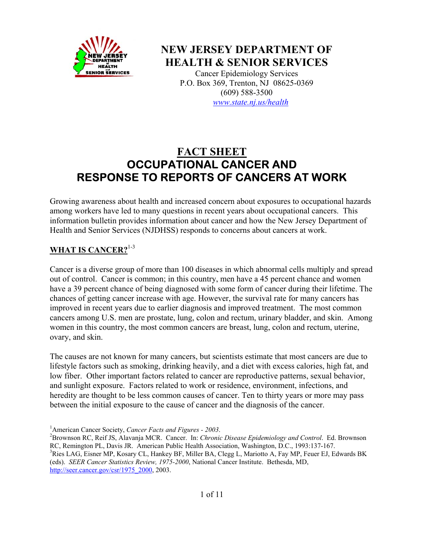

**NEW JERSEY DEPARTMENT OF HEALTH & SENIOR SERVICES**

> Cancer Epidemiology Services P.O. Box 369, Trenton, NJ 08625-0369 (609) 588-3500 *www.state.nj.us/health*

# **FACT SHEET OCCUPATIONAL CANCER AND RESPONSE TO REPORTS OF CANCERS AT WORK**

Growing awareness about health and increased concern about exposures to occupational hazards among workers have led to many questions in recent years about occupational cancers. This information bulletin provides information about cancer and how the New Jersey Department of Health and Senior Services (NJDHSS) responds to concerns about cancers at work.

#### **WHAT IS CANCER?**1-3

Cancer is a diverse group of more than 100 diseases in which abnormal cells multiply and spread out of control. Cancer is common; in this country, men have a 45 percent chance and women have a 39 percent chance of being diagnosed with some form of cancer during their lifetime. The chances of getting cancer increase with age. However, the survival rate for many cancers has improved in recent years due to earlier diagnosis and improved treatment. The most common cancers among U.S. men are prostate, lung, colon and rectum, urinary bladder, and skin. Among women in this country, the most common cancers are breast, lung, colon and rectum, uterine, ovary, and skin.

The causes are not known for many cancers, but scientists estimate that most cancers are due to lifestyle factors such as smoking, drinking heavily, and a diet with excess calories, high fat, and low fiber. Other important factors related to cancer are reproductive patterns, sexual behavior, and sunlight exposure. Factors related to work or residence, environment, infections, and heredity are thought to be less common causes of cancer. Ten to thirty years or more may pass between the initial exposure to the cause of cancer and the diagnosis of the cancer.

<sup>1</sup> American Cancer Society, *Cancer Facts and Figures - 2003*.<br><sup>2</sup> Provincen B.C. Boif IS, Alexania MCB, Cancer, In: Chronic

Brownson RC, Reif JS, Alavanja MCR. Cancer. In: *Chronic Disease Epidemiology and Control*. Ed. Brownson RC, Remington PL, Davis JR. American Public Health Association, Washington, D.C., 1993:137-167. <sup>3</sup>Ries LAG, Eisner MP, Kosary CL, Hankey BF, Miller BA, Clegg L, Mariotto A, Fay MP, Feuer EJ, Edwards BK (eds). *SEER Cancer Statistics Review, 1975-2000*, National Cancer Institute. Bethesda, MD, [http://seer.cancer.gov/csr/1975\\_2000,](http://seer.cancer.gov/csr/1975_2000) 2003.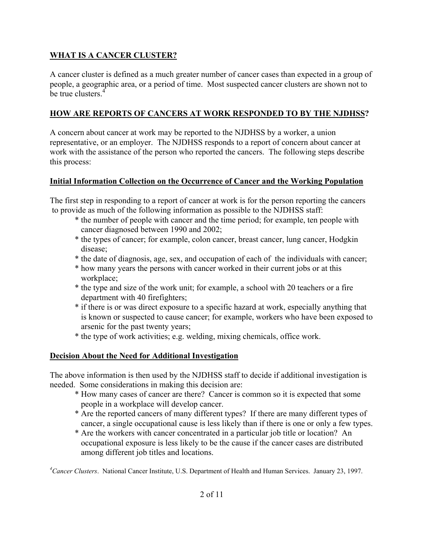# **WHAT IS A CANCER CLUSTER?**

A cancer cluster is defined as a much greater number of cancer cases than expected in a group of people, a geographic area, or a period of time. Most suspected cancer clusters are shown not to be true clusters.<sup>4</sup>

## **HOW ARE REPORTS OF CANCERS AT WORK RESPONDED TO BY THE NJDHSS?**

A concern about cancer at work may be reported to the NJDHSS by a worker, a union representative, or an employer. The NJDHSS responds to a report of concern about cancer at work with the assistance of the person who reported the cancers. The following steps describe this process:

## **Initial Information Collection on the Occurrence of Cancer and the Working Population**

The first step in responding to a report of cancer at work is for the person reporting the cancers to provide as much of the following information as possible to the NJDHSS staff:

- \* the number of people with cancer and the time period; for example, ten people with cancer diagnosed between 1990 and 2002;
- \* the types of cancer; for example, colon cancer, breast cancer, lung cancer, Hodgkin disease;
- \* the date of diagnosis, age, sex, and occupation of each of the individuals with cancer;
- \* how many years the persons with cancer worked in their current jobs or at this workplace;
- \* the type and size of the work unit; for example, a school with 20 teachers or a fire department with 40 firefighters;
- \* if there is or was direct exposure to a specific hazard at work, especially anything that is known or suspected to cause cancer; for example, workers who have been exposed to arsenic for the past twenty years;
- \* the type of work activities; e.g. welding, mixing chemicals, office work.

## **Decision About the Need for Additional Investigation**

The above information is then used by the NJDHSS staff to decide if additional investigation is needed. Some considerations in making this decision are:

- \* How many cases of cancer are there? Cancer is common so it is expected that some people in a workplace will develop cancer.
- \* Are the reported cancers of many different types? If there are many different types of cancer, a single occupational cause is less likely than if there is one or only a few types.
- \* Are the workers with cancer concentrated in a particular job title or location? An occupational exposure is less likely to be the cause if the cancer cases are distributed among different job titles and locations.

*4 Cancer Clusters*. National Cancer Institute, U.S. Department of Health and Human Services. January 23, 1997.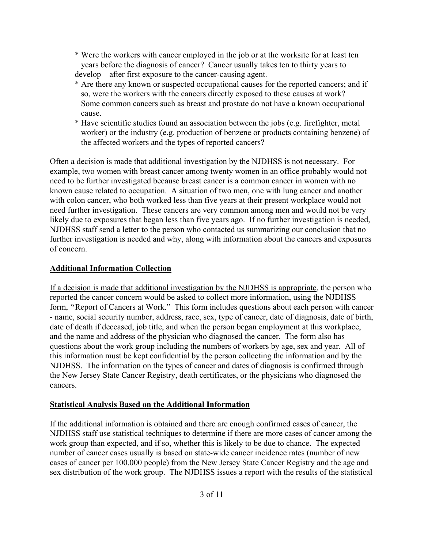- \* Were the workers with cancer employed in the job or at the worksite for at least ten years before the diagnosis of cancer? Cancer usually takes ten to thirty years to develop after first exposure to the cancer-causing agent.
- \* Are there any known or suspected occupational causes for the reported cancers; and if so, were the workers with the cancers directly exposed to these causes at work? Some common cancers such as breast and prostate do not have a known occupational cause.
- \* Have scientific studies found an association between the jobs (e.g. firefighter, metal worker) or the industry (e.g. production of benzene or products containing benzene) of the affected workers and the types of reported cancers?

Often a decision is made that additional investigation by the NJDHSS is not necessary. For example, two women with breast cancer among twenty women in an office probably would not need to be further investigated because breast cancer is a common cancer in women with no known cause related to occupation. A situation of two men, one with lung cancer and another with colon cancer, who both worked less than five years at their present workplace would not need further investigation. These cancers are very common among men and would not be very likely due to exposures that began less than five years ago. If no further investigation is needed, NJDHSS staff send a letter to the person who contacted us summarizing our conclusion that no further investigation is needed and why, along with information about the cancers and exposures of concern.

## **Additional Information Collection**

If a decision is made that additional investigation by the NJDHSS is appropriate, the person who reported the cancer concern would be asked to collect more information, using the NJDHSS form, "Report of Cancers at Work." This form includes questions about each person with cancer - name, social security number, address, race, sex, type of cancer, date of diagnosis, date of birth, date of death if deceased, job title, and when the person began employment at this workplace, and the name and address of the physician who diagnosed the cancer. The form also has questions about the work group including the numbers of workers by age, sex and year. All of this information must be kept confidential by the person collecting the information and by the NJDHSS. The information on the types of cancer and dates of diagnosis is confirmed through the New Jersey State Cancer Registry, death certificates, or the physicians who diagnosed the cancers.

## **Statistical Analysis Based on the Additional Information**

If the additional information is obtained and there are enough confirmed cases of cancer, the NJDHSS staff use statistical techniques to determine if there are more cases of cancer among the work group than expected, and if so, whether this is likely to be due to chance. The expected number of cancer cases usually is based on state-wide cancer incidence rates (number of new cases of cancer per 100,000 people) from the New Jersey State Cancer Registry and the age and sex distribution of the work group. The NJDHSS issues a report with the results of the statistical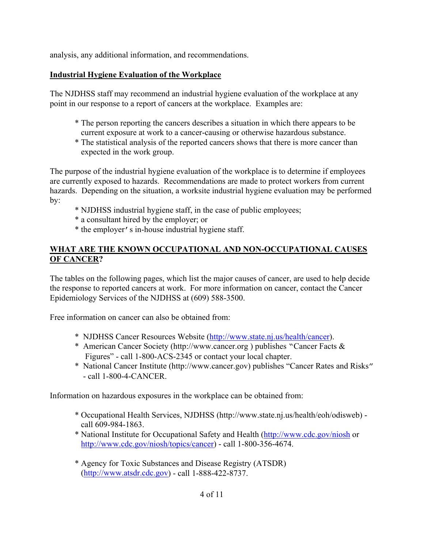analysis, any additional information, and recommendations.

#### **Industrial Hygiene Evaluation of the Workplace**

The NJDHSS staff may recommend an industrial hygiene evaluation of the workplace at any point in our response to a report of cancers at the workplace. Examples are:

- \* The person reporting the cancers describes a situation in which there appears to be current exposure at work to a cancer-causing or otherwise hazardous substance.
- \* The statistical analysis of the reported cancers shows that there is more cancer than expected in the work group.

The purpose of the industrial hygiene evaluation of the workplace is to determine if employees are currently exposed to hazards. Recommendations are made to protect workers from current hazards. Depending on the situation, a worksite industrial hygiene evaluation may be performed by:

- \* NJDHSS industrial hygiene staff, in the case of public employees;
- \* a consultant hired by the employer; or
- \* the employer's in-house industrial hygiene staff.

#### **WHAT ARE THE KNOWN OCCUPATIONAL AND NON-OCCUPATIONAL CAUSES OF CANCER?**

The tables on the following pages, which list the major causes of cancer, are used to help decide the response to reported cancers at work. For more information on cancer, contact the Cancer Epidemiology Services of the NJDHSS at (609) 588-3500.

Free information on cancer can also be obtained from:

- \* NJDHSS Cancer Resources Website ([http://www.state.nj.us/health/cancer\)](http://www.state.nj.us/health/cancer).
- \* American Cancer Society (http://www.cancer.org ) publishes "Cancer Facts & Figures" - call 1-800-ACS-2345 or contact your local chapter.
- \* National Cancer Institute (http://www.cancer.gov) publishes "Cancer Rates and Risks" - call 1-800-4-CANCER.

Information on hazardous exposures in the workplace can be obtained from:

- \* Occupational Health Services, NJDHSS (http://www.state.nj.us/health/eoh/odisweb) call 609-984-1863.
- \* National Institute for Occupational Safety and Health [\(http://www.cdc.gov/niosh](http://www.cdc.gov/niosh) or [http://www.cdc.gov/niosh/topics/cancer\)](http://www.cdc.gov/niosh/topics/cancer) - call 1-800-356-4674.
- \* Agency for Toxic Substances and Disease Registry (ATSDR) ([http://www.atsdr.cdc.gov\)](http://www.atsdr.cdc.gov/) - call 1-888-422-8737.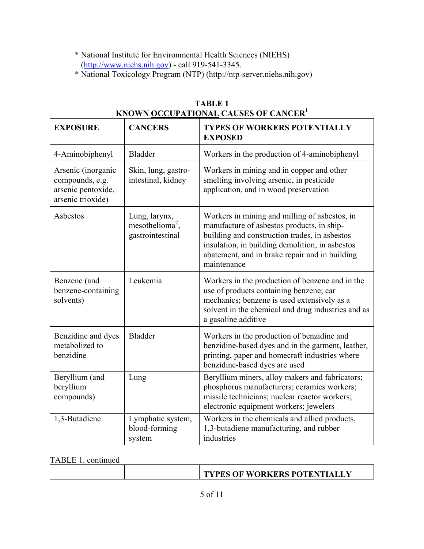- \* National Institute for Environmental Health Sciences (NIEHS) ([http://www.niehs.nih.gov\)](http://www.niehs.nih.gov/) - call 919-541-3345.
- \* National Toxicology Program (NTP) (http://ntp-server.niehs.nih.gov)

| <b>EXPOSURE</b>                                                                  | <b>CANCERS</b>                                                   | <b>TYPES OF WORKERS POTENTIALLY</b><br><b>EXPOSED</b>                                                                                                                                                                                                            |
|----------------------------------------------------------------------------------|------------------------------------------------------------------|------------------------------------------------------------------------------------------------------------------------------------------------------------------------------------------------------------------------------------------------------------------|
| 4-Aminobiphenyl                                                                  | <b>Bladder</b>                                                   | Workers in the production of 4-aminobiphenyl                                                                                                                                                                                                                     |
| Arsenic (inorganic<br>compounds, e.g.<br>arsenic pentoxide,<br>arsenic trioxide) | Skin, lung, gastro-<br>intestinal, kidney                        | Workers in mining and in copper and other<br>smelting involving arsenic, in pesticide<br>application, and in wood preservation                                                                                                                                   |
| Asbestos                                                                         | Lung, larynx,<br>mesothelioma <sup>2</sup> ,<br>gastrointestinal | Workers in mining and milling of asbestos, in<br>manufacture of asbestos products, in ship-<br>building and construction trades, in asbestos<br>insulation, in building demolition, in asbestos<br>abatement, and in brake repair and in building<br>maintenance |
| Benzene (and<br>benzene-containing<br>solvents)                                  | Leukemia                                                         | Workers in the production of benzene and in the<br>use of products containing benzene; car<br>mechanics; benzene is used extensively as a<br>solvent in the chemical and drug industries and as<br>a gasoline additive                                           |
| Benzidine and dyes<br>metabolized to<br>benzidine                                | <b>Bladder</b>                                                   | Workers in the production of benzidine and<br>benzidine-based dyes and in the garment, leather,<br>printing, paper and homecraft industries where<br>benzidine-based dyes are used                                                                               |
| Beryllium (and<br>beryllium<br>compounds)                                        | Lung                                                             | Beryllium miners, alloy makers and fabricators;<br>phosphorus manufacturers; ceramics workers;<br>missile technicians; nuclear reactor workers;<br>electronic equipment workers; jewelers                                                                        |
| 1,3-Butadiene                                                                    | Lymphatic system,<br>blood-forming<br>system                     | Workers in the chemicals and allied products,<br>1,3-butadiene manufacturing, and rubber<br>industries                                                                                                                                                           |

| <b>TABLE 1</b>                                           |  |
|----------------------------------------------------------|--|
| KNOWN <u>OCCUPATIONA</u> L CAUSES OF CANCER <sup>1</sup> |  |

TABLE 1. continued

|  | <b>TYPES OF WORKERS POTENTIALLY</b> |
|--|-------------------------------------|
|  |                                     |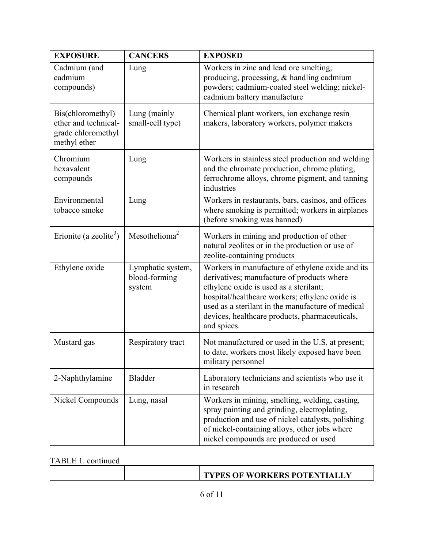| <b>EXPOSURE</b>                                                                 | <b>CANCERS</b>                               | <b>EXPOSED</b>                                                                                                                                                                                                                                                                                                   |
|---------------------------------------------------------------------------------|----------------------------------------------|------------------------------------------------------------------------------------------------------------------------------------------------------------------------------------------------------------------------------------------------------------------------------------------------------------------|
| Cadmium (and<br>cadmium<br>compounds)                                           | Lung                                         | Workers in zinc and lead ore smelting;<br>producing, processing, & handling cadmium<br>powders; cadmium-coated steel welding; nickel-<br>cadmium battery manufacture                                                                                                                                             |
| Bis(chloromethyl)<br>ether and technical-<br>grade chloromethyl<br>methyl ether | Lung (mainly<br>small-cell type)             | Chemical plant workers, ion exchange resin<br>makers, laboratory workers, polymer makers                                                                                                                                                                                                                         |
| Chromium<br>hexavalent<br>compounds                                             | Lung                                         | Workers in stainless steel production and welding<br>and the chromate production, chrome plating,<br>ferrochrome alloys, chrome pigment, and tanning<br>industries                                                                                                                                               |
| Environmental<br>tobacco smoke                                                  | Lung                                         | Workers in restaurants, bars, casinos, and offices<br>where smoking is permitted; workers in airplanes<br>(before smoking was banned)                                                                                                                                                                            |
| Erionite (a zeolite <sup>3</sup> )                                              | Mesothelioma <sup>2</sup>                    | Workers in mining and production of other<br>natural zeolites or in the production or use of<br>zeolite-containing products                                                                                                                                                                                      |
| Ethylene oxide                                                                  | Lymphatic system,<br>blood-forming<br>system | Workers in manufacture of ethylene oxide and its<br>derivatives; manufacture of products where<br>ethylene oxide is used as a sterilant;<br>hospital/healthcare workers; ethylene oxide is<br>used as a sterilant in the manufacture of medical<br>devices, healthcare products, pharmaceuticals,<br>and spices. |
| Mustard gas                                                                     | Respiratory tract                            | Not manufactured or used in the U.S. at present;<br>to date, workers most likely exposed have been<br>military personnel                                                                                                                                                                                         |
| 2-Naphthylamine                                                                 | <b>Bladder</b>                               | Laboratory technicians and scientists who use it<br>in research                                                                                                                                                                                                                                                  |
| Nickel Compounds                                                                | Lung, nasal                                  | Workers in mining, smelting, welding, casting,<br>spray painting and grinding, electroplating,<br>production and use of nickel catalysts, polishing<br>of nickel-containing alloys, other jobs where<br>nickel compounds are produced or used                                                                    |

TABLE 1. continued

|  |  | <b>TYPES OF WORKERS POTENTIALLY</b> |
|--|--|-------------------------------------|
|--|--|-------------------------------------|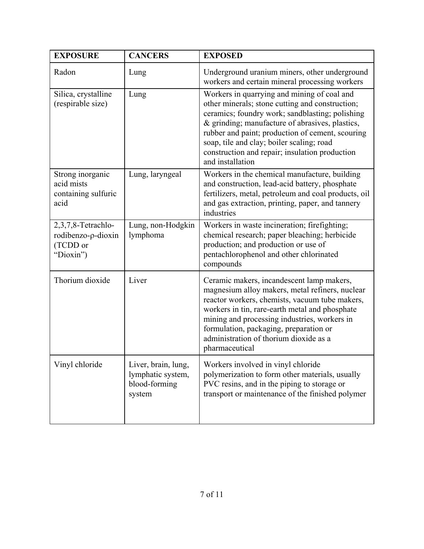| <b>EXPOSURE</b>                                                   | <b>CANCERS</b>                                                      | <b>EXPOSED</b>                                                                                                                                                                                                                                                                                                                                                              |
|-------------------------------------------------------------------|---------------------------------------------------------------------|-----------------------------------------------------------------------------------------------------------------------------------------------------------------------------------------------------------------------------------------------------------------------------------------------------------------------------------------------------------------------------|
| Radon                                                             | Lung                                                                | Underground uranium miners, other underground<br>workers and certain mineral processing workers                                                                                                                                                                                                                                                                             |
| Silica, crystalline<br>(respirable size)                          | Lung                                                                | Workers in quarrying and mining of coal and<br>other minerals; stone cutting and construction;<br>ceramics; foundry work; sandblasting; polishing<br>& grinding; manufacture of abrasives, plastics,<br>rubber and paint; production of cement, scouring<br>soap, tile and clay; boiler scaling; road<br>construction and repair; insulation production<br>and installation |
| Strong inorganic<br>acid mists<br>containing sulfuric<br>acid     | Lung, laryngeal                                                     | Workers in the chemical manufacture, building<br>and construction, lead-acid battery, phosphate<br>fertilizers, metal, petroleum and coal products, oil<br>and gas extraction, printing, paper, and tannery<br>industries                                                                                                                                                   |
| 2,3,7,8-Tetrachlo-<br>rodibenzo-p-dioxin<br>(TCDD or<br>"Dioxin") | Lung, non-Hodgkin<br>lymphoma                                       | Workers in waste incineration; firefighting;<br>chemical research; paper bleaching; herbicide<br>production; and production or use of<br>pentachlorophenol and other chlorinated<br>compounds                                                                                                                                                                               |
| Thorium dioxide                                                   | Liver                                                               | Ceramic makers, incandescent lamp makers,<br>magnesium alloy makers, metal refiners, nuclear<br>reactor workers, chemists, vacuum tube makers,<br>workers in tin, rare-earth metal and phosphate<br>mining and processing industries, workers in<br>formulation, packaging, preparation or<br>administration of thorium dioxide as a<br>pharmaceutical                      |
| Vinyl chloride                                                    | Liver, brain, lung,<br>lymphatic system,<br>blood-forming<br>system | Workers involved in vinyl chloride<br>polymerization to form other materials, usually<br>PVC resins, and in the piping to storage or<br>transport or maintenance of the finished polymer                                                                                                                                                                                    |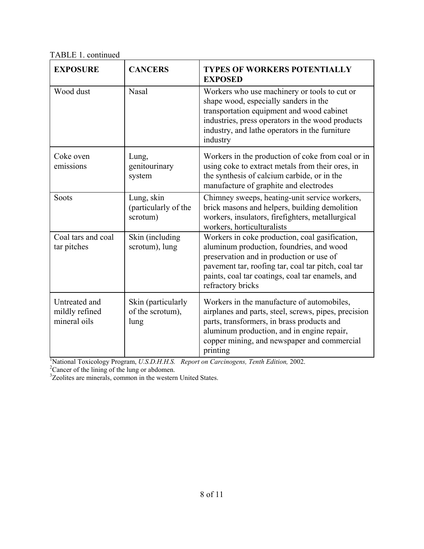TABLE 1. continued

| <b>EXPOSURE</b>                                 | <b>CANCERS</b>                                 | <b>TYPES OF WORKERS POTENTIALLY</b><br><b>EXPOSED</b>                                                                                                                                                                                                                                                                                                         |
|-------------------------------------------------|------------------------------------------------|---------------------------------------------------------------------------------------------------------------------------------------------------------------------------------------------------------------------------------------------------------------------------------------------------------------------------------------------------------------|
| Wood dust                                       | Nasal                                          | Workers who use machinery or tools to cut or<br>shape wood, especially sanders in the<br>transportation equipment and wood cabinet<br>industries, press operators in the wood products<br>industry, and lathe operators in the furniture<br>industry                                                                                                          |
| Coke oven<br>emissions                          | Lung,<br>genitourinary<br>system               | Workers in the production of coke from coal or in<br>using coke to extract metals from their ores, in<br>the synthesis of calcium carbide, or in the<br>manufacture of graphite and electrodes                                                                                                                                                                |
| Soots                                           | Lung, skin<br>(particularly of the<br>scrotum) | Chimney sweeps, heating-unit service workers,<br>brick masons and helpers, building demolition<br>workers, insulators, firefighters, metallurgical<br>workers, horticulturalists                                                                                                                                                                              |
| Coal tars and coal<br>tar pitches               | Skin (including<br>scrotum), lung              | Workers in coke production, coal gasification,<br>aluminum production, foundries, and wood<br>preservation and in production or use of<br>pavement tar, roofing tar, coal tar pitch, coal tar<br>paints, coal tar coatings, coal tar enamels, and<br>refractory bricks                                                                                        |
| Untreated and<br>mildly refined<br>mineral oils | Skin (particularly<br>of the scrotum),<br>lung | Workers in the manufacture of automobiles,<br>airplanes and parts, steel, screws, pipes, precision<br>parts, transformers, in brass products and<br>aluminum production, and in engine repair,<br>copper mining, and newspaper and commercial<br>printing<br>$\frac{1}{2}$ National Toyicalogy Program II C D H H C Bonout on Cauginogens, Touth Edition 2002 |

<sup>1</sup>National Toxicology Program, *U.S.D.H.H.S. Report on Carcinogens, Tenth Edition,* 2002.

 $C<sup>2</sup>$ Cancer of the lining of the lung or abdomen.<br> $C<sup>3</sup>$ Zeolites are minerals, common in the western United States.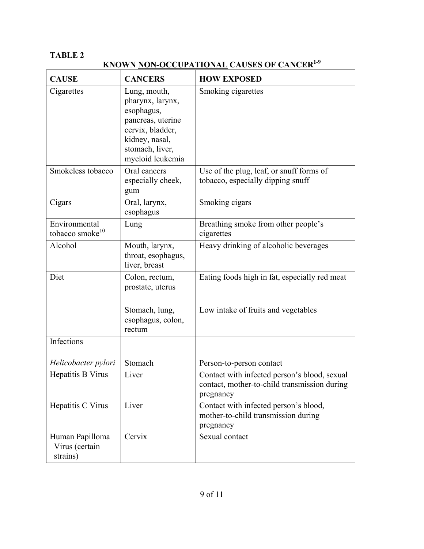# **TABLE 2**

**KNOWN NON-OCCUPATIONAL** CAUSES OF CANCER<sup>1-9</sup>

| <b>CAUSE</b>                                  | <b>CANCERS</b>                                                                                                                                   | <b>HOW EXPOSED</b>                                                                                        |
|-----------------------------------------------|--------------------------------------------------------------------------------------------------------------------------------------------------|-----------------------------------------------------------------------------------------------------------|
| Cigarettes                                    | Lung, mouth,<br>pharynx, larynx,<br>esophagus,<br>pancreas, uterine<br>cervix, bladder,<br>kidney, nasal,<br>stomach, liver,<br>myeloid leukemia | Smoking cigarettes                                                                                        |
| Smokeless tobacco                             | Oral cancers<br>especially cheek,<br>gum                                                                                                         | Use of the plug, leaf, or snuff forms of<br>tobacco, especially dipping snuff                             |
| Cigars                                        | Oral, larynx,<br>esophagus                                                                                                                       | Smoking cigars                                                                                            |
| Environmental<br>tobacco smoke <sup>10</sup>  | Lung                                                                                                                                             | Breathing smoke from other people's<br>cigarettes                                                         |
| Alcohol                                       | Mouth, larynx,<br>throat, esophagus,<br>liver, breast                                                                                            | Heavy drinking of alcoholic beverages                                                                     |
| Diet                                          | Colon, rectum,<br>prostate, uterus                                                                                                               | Eating foods high in fat, especially red meat                                                             |
|                                               | Stomach, lung,<br>esophagus, colon,<br>rectum                                                                                                    | Low intake of fruits and vegetables                                                                       |
| Infections                                    |                                                                                                                                                  |                                                                                                           |
| Helicobacter pylori                           | Stomach                                                                                                                                          | Person-to-person contact                                                                                  |
| Hepatitis B Virus                             | Liver                                                                                                                                            | Contact with infected person's blood, sexual<br>contact, mother-to-child transmission during<br>pregnancy |
| Hepatitis C Virus                             | Liver                                                                                                                                            | Contact with infected person's blood,<br>mother-to-child transmission during<br>pregnancy                 |
| Human Papilloma<br>Virus (certain<br>strains) | Cervix                                                                                                                                           | Sexual contact                                                                                            |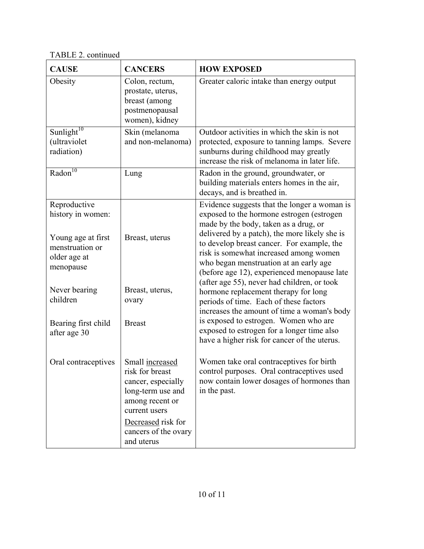T ABLE 2. continued

| <b>CAUSE</b>                                                                                                                                                                | <b>CANCERS</b>                                                                                                                                                                | <b>HOW EXPOSED</b>                                                                                                                                                                                                                                                                                                                                                                                                                                                                                                                                                                                                                                                                          |
|-----------------------------------------------------------------------------------------------------------------------------------------------------------------------------|-------------------------------------------------------------------------------------------------------------------------------------------------------------------------------|---------------------------------------------------------------------------------------------------------------------------------------------------------------------------------------------------------------------------------------------------------------------------------------------------------------------------------------------------------------------------------------------------------------------------------------------------------------------------------------------------------------------------------------------------------------------------------------------------------------------------------------------------------------------------------------------|
| Obesity                                                                                                                                                                     | Colon, rectum,<br>prostate, uterus,<br>breast (among<br>postmenopausal<br>women), kidney                                                                                      | Greater caloric intake than energy output                                                                                                                                                                                                                                                                                                                                                                                                                                                                                                                                                                                                                                                   |
| Sunlight <sup>10</sup><br>(ultraviolet<br>radiation)                                                                                                                        | Skin (melanoma<br>and non-melanoma)                                                                                                                                           | Outdoor activities in which the skin is not<br>protected, exposure to tanning lamps. Severe<br>sunburns during childhood may greatly<br>increase the risk of melanoma in later life.                                                                                                                                                                                                                                                                                                                                                                                                                                                                                                        |
| $\overline{\text{Radon}^{10}}$                                                                                                                                              | Lung                                                                                                                                                                          | Radon in the ground, groundwater, or<br>building materials enters homes in the air,<br>decays, and is breathed in.                                                                                                                                                                                                                                                                                                                                                                                                                                                                                                                                                                          |
| Reproductive<br>history in women:<br>Young age at first<br>menstruation or<br>older age at<br>menopause<br>Never bearing<br>children<br>Bearing first child<br>after age 30 | Breast, uterus<br>Breast, uterus,<br>ovary<br><b>Breast</b>                                                                                                                   | Evidence suggests that the longer a woman is<br>exposed to the hormone estrogen (estrogen<br>made by the body, taken as a drug, or<br>delivered by a patch), the more likely she is<br>to develop breast cancer. For example, the<br>risk is somewhat increased among women<br>who began menstruation at an early age<br>(before age 12), experienced menopause late<br>(after age 55), never had children, or took<br>hormone replacement therapy for long<br>periods of time. Each of these factors<br>increases the amount of time a woman's body<br>is exposed to estrogen. Women who are<br>exposed to estrogen for a longer time also<br>have a higher risk for cancer of the uterus. |
| Oral contraceptives                                                                                                                                                         | Small increased<br>risk for breast<br>cancer, especially<br>long-term use and<br>among recent or<br>current users<br>Decreased risk for<br>cancers of the ovary<br>and uterus | Women take oral contraceptives for birth<br>control purposes. Oral contraceptives used<br>now contain lower dosages of hormones than<br>in the past.                                                                                                                                                                                                                                                                                                                                                                                                                                                                                                                                        |